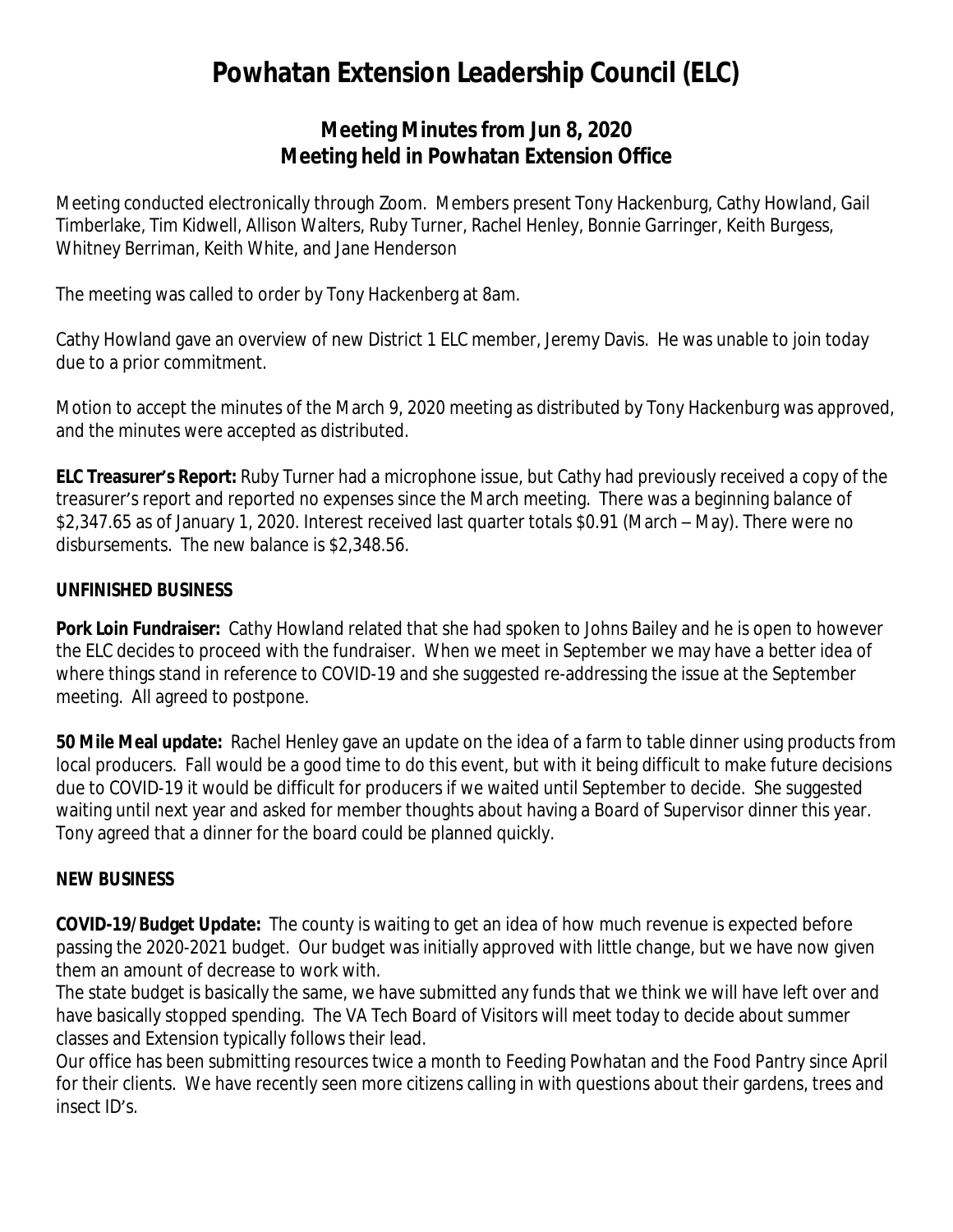# **Powhatan Extension Leadership Council (ELC)**

## **Meeting Minutes from Jun 8, 2020 Meeting held in Powhatan Extension Office**

Meeting conducted electronically through Zoom. Members present Tony Hackenburg, Cathy Howland, Gail Timberlake, Tim Kidwell, Allison Walters, Ruby Turner, Rachel Henley, Bonnie Garringer, Keith Burgess, Whitney Berriman, Keith White, and Jane Henderson

The meeting was called to order by Tony Hackenberg at 8am.

Cathy Howland gave an overview of new District 1 ELC member, Jeremy Davis. He was unable to join today due to a prior commitment.

Motion to accept the minutes of the March 9, 2020 meeting as distributed by Tony Hackenburg was approved, and the minutes were accepted as distributed.

**ELC Treasurer's Report:** Ruby Turner had a microphone issue, but Cathy had previously received a copy of the treasurer's report and reported no expenses since the March meeting. There was a beginning balance of \$2,347.65 as of January 1, 2020. Interest received last quarter totals \$0.91 (March – May). There were no disbursements. The new balance is \$2,348.56.

#### *UNFINISHED BUSINESS*

**Pork Loin Fundraiser:** Cathy Howland related that she had spoken to Johns Bailey and he is open to however the ELC decides to proceed with the fundraiser. When we meet in September we may have a better idea of where things stand in reference to COVID-19 and she suggested re-addressing the issue at the September meeting. All agreed to postpone.

**50 Mile Meal update:** Rachel Henley gave an update on the idea of a farm to table dinner using products from local producers. Fall would be a good time to do this event, but with it being difficult to make future decisions due to COVID-19 it would be difficult for producers if we waited until September to decide. She suggested waiting until next year and asked for member thoughts about having a Board of Supervisor dinner this year. Tony agreed that a dinner for the board could be planned quickly.

#### *NEW BUSINESS*

**COVID-19/Budget Update:** The county is waiting to get an idea of how much revenue is expected before passing the 2020-2021 budget. Our budget was initially approved with little change, but we have now given them an amount of decrease to work with.

The state budget is basically the same, we have submitted any funds that we think we will have left over and have basically stopped spending. The VA Tech Board of Visitors will meet today to decide about summer classes and Extension typically follows their lead.

Our office has been submitting resources twice a month to Feeding Powhatan and the Food Pantry since April for their clients. We have recently seen more citizens calling in with questions about their gardens, trees and insect ID's.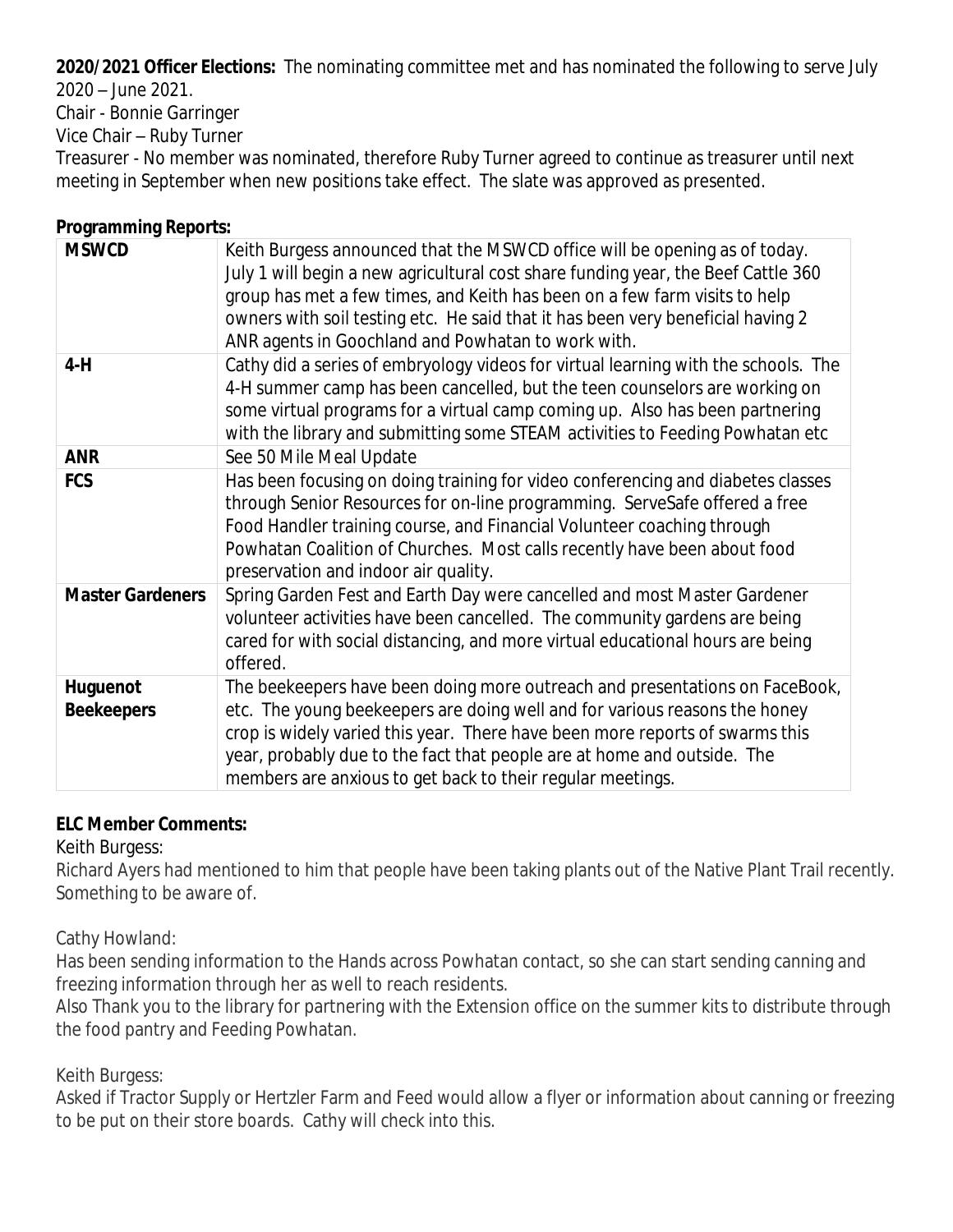**2020/2021 Officer Elections:** The nominating committee met and has nominated the following to serve July

2020 – June 2021.

Chair - Bonnie Garringer

Vice Chair – Ruby Turner

Treasurer - No member was nominated, therefore Ruby Turner agreed to continue as treasurer until next meeting in September when new positions take effect. The slate was approved as presented.

## **Programming Reports:**

| <b>MSWCD</b>                         | Keith Burgess announced that the MSWCD office will be opening as of today.<br>July 1 will begin a new agricultural cost share funding year, the Beef Cattle 360<br>group has met a few times, and Keith has been on a few farm visits to help<br>owners with soil testing etc. He said that it has been very beneficial having 2<br>ANR agents in Goochland and Powhatan to work with. |
|--------------------------------------|----------------------------------------------------------------------------------------------------------------------------------------------------------------------------------------------------------------------------------------------------------------------------------------------------------------------------------------------------------------------------------------|
| $4-H$                                | Cathy did a series of embryology videos for virtual learning with the schools. The<br>4-H summer camp has been cancelled, but the teen counselors are working on<br>some virtual programs for a virtual camp coming up. Also has been partnering<br>with the library and submitting some STEAM activities to Feeding Powhatan etc                                                      |
| <b>ANR</b>                           | See 50 Mile Meal Update                                                                                                                                                                                                                                                                                                                                                                |
| <b>FCS</b>                           | Has been focusing on doing training for video conferencing and diabetes classes<br>through Senior Resources for on-line programming. ServeSafe offered a free<br>Food Handler training course, and Financial Volunteer coaching through<br>Powhatan Coalition of Churches. Most calls recently have been about food<br>preservation and indoor air quality.                            |
| <b>Master Gardeners</b>              | Spring Garden Fest and Earth Day were cancelled and most Master Gardener<br>volunteer activities have been cancelled. The community gardens are being<br>cared for with social distancing, and more virtual educational hours are being<br>offered.                                                                                                                                    |
| <b>Huguenot</b><br><b>Beekeepers</b> | The beekeepers have been doing more outreach and presentations on FaceBook,<br>etc. The young beekeepers are doing well and for various reasons the honey<br>crop is widely varied this year. There have been more reports of swarms this<br>year, probably due to the fact that people are at home and outside. The<br>members are anxious to get back to their regular meetings.     |

#### **ELC Member Comments:**

Keith Burgess:

Richard Ayers had mentioned to him that people have been taking plants out of the Native Plant Trail recently. Something to be aware of.

Cathy Howland:

Has been sending information to the Hands across Powhatan contact, so she can start sending canning and freezing information through her as well to reach residents.

Also Thank you to the library for partnering with the Extension office on the summer kits to distribute through the food pantry and Feeding Powhatan.

Keith Burgess:

Asked if Tractor Supply or Hertzler Farm and Feed would allow a flyer or information about canning or freezing to be put on their store boards. Cathy will check into this.